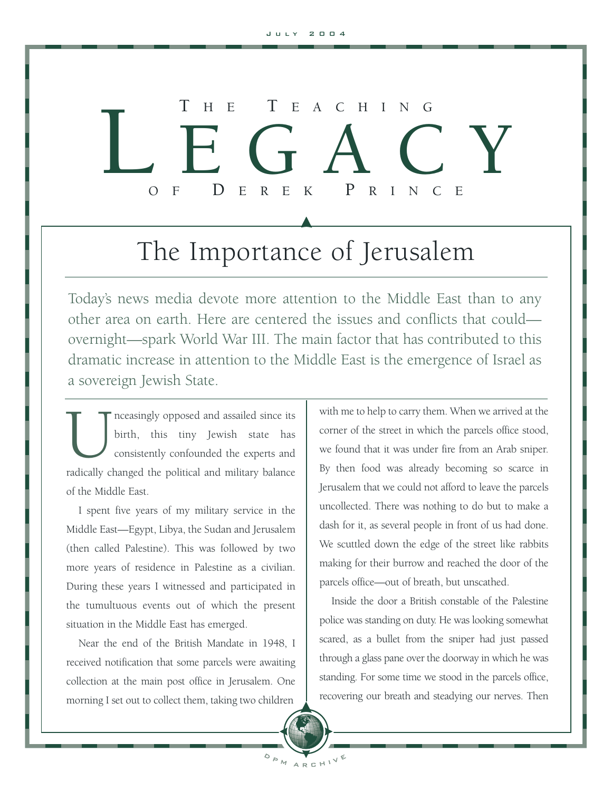# L E GACHING O F D EREK P RINCE

# The Importance of Jerusalem

Today's news media devote more attention to the Middle East than to any other area on earth. Here are centered the issues and conflicts that could overnight—spark World War III. The main factor that has contributed to this dramatic increase in attention to the Middle East is the emergence of Israel as a sovereign Jewish State.

Inceasingly opposed and assailed since its<br>birth, this tiny Jewish state has<br>consistently confounded the experts and<br>radically changed the political and military balance birth, this tiny Jewish state has consistently confounded the experts and of the Middle East.

I spent five years of my military service in the Middle East—Egypt, Libya, the Sudan and Jerusalem (then called Palestine). This was followed by two more years of residence in Palestine as a civilian. During these years I witnessed and participated in the tumultuous events out of which the present situation in the Middle East has emerged.

Near the end of the British Mandate in 1948, I received notification that some parcels were awaiting collection at the main post office in Jerusalem. One morning I set out to collect them, taking two children

with me to help to carry them. When we arrived at the corner of the street in which the parcels office stood, we found that it was under fire from an Arab sniper. By then food was already becoming so scarce in Jerusalem that we could not afford to leave the parcels uncollected. There was nothing to do but to make a dash for it, as several people in front of us had done. We scuttled down the edge of the street like rabbits making for their burrow and reached the door of the parcels office—out of breath, but unscathed.

Inside the door a British constable of the Palestine police was standing on duty. He was looking somewhat scared, as a bullet from the sniper had just passed through a glass pane over the doorway in which he was standing. For some time we stood in the parcels office, recovering our breath and steadying our nerves. Then

OPM ARCHIVE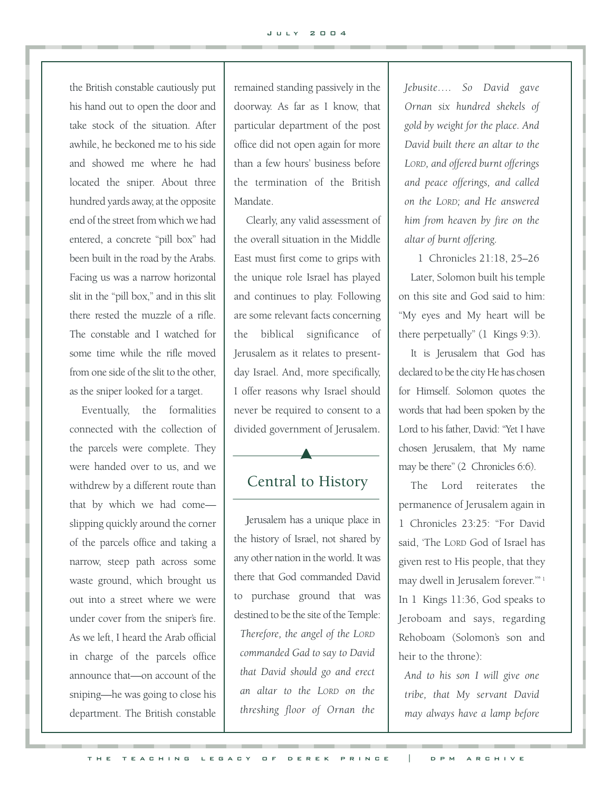the British constable cautiously put his hand out to open the door and take stock of the situation. After awhile, he beckoned me to his side and showed me where he had located the sniper. About three hundred yards away, at the opposite end of the street from which we had entered, a concrete "pill box" had been built in the road by the Arabs. Facing us was a narrow horizontal slit in the "pill box," and in this slit there rested the muzzle of a rifle. The constable and I watched for some time while the rifle moved from one side of the slit to the other, as the sniper looked for a target.

Eventually, the formalities connected with the collection of the parcels were complete. They were handed over to us, and we withdrew by a different route than that by which we had come slipping quickly around the corner of the parcels office and taking a narrow, steep path across some waste ground, which brought us out into a street where we were under cover from the sniper's fire. As we left, I heard the Arab official in charge of the parcels office announce that—on account of the sniping—he was going to close his department. The British constable

remained standing passively in the doorway. As far as I know, that particular department of the post office did not open again for more than a few hours' business before the termination of the British Mandate.

Clearly, any valid assessment of the overall situation in the Middle East must first come to grips with the unique role Israel has played and continues to play. Following are some relevant facts concerning the biblical significance of Jerusalem as it relates to presentday Israel. And, more specifically, I offer reasons why Israel should never be required to consent to a divided government of Jerusalem.

### Central to History

Jerusalem has a unique place in the history of Israel, not shared by any other nation in the world. It was there that God commanded David to purchase ground that was destined to be the site of the Temple: *Therefore, the angel of the LORD commanded Gad to say to David that David should go and erect an altar to the LORD on the threshing floor of Ornan the*

*Jebusite…. So David gave Ornan six hundred shekels of gold by weight for the place. And David built there an altar to the LORD, and offered burnt offerings and peace offerings, and called on the LORD; and He answered him from heaven by fire on the altar of burnt offering.*

1 Chronicles 21:18, 25–26 Later, Solomon built his temple on this site and God said to him: "My eyes and My heart will be there perpetually" (1 Kings 9:3).

It is Jerusalem that God has declared to be the city He has chosen for Himself. Solomon quotes the words that had been spoken by the Lord to his father, David: "Yet I have chosen Jerusalem, that My name may be there" (2 Chronicles 6:6).

The Lord reiterates the permanence of Jerusalem again in 1 Chronicles 23:25: "For David said, 'The LORD God of Israel has given rest to His people, that they may dwell in Jerusalem forever.'" <sup>1</sup> In 1 Kings 11:36, God speaks to Jeroboam and says, regarding Rehoboam (Solomon's son and heir to the throne):

*And to his son I will give one tribe, that My servant David may always have a lamp before*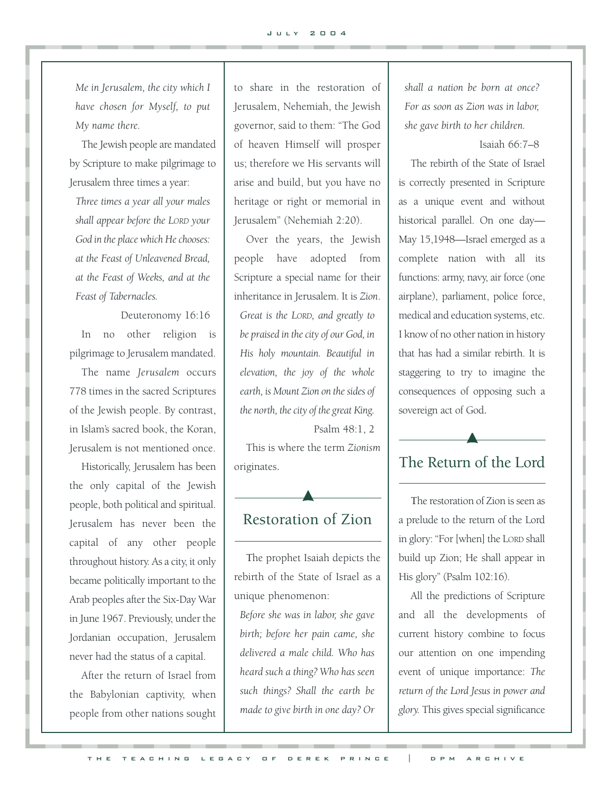*Me in Jerusalem, the city which I have chosen for Myself, to put My name there.*

The Jewish people are mandated by Scripture to make pilgrimage to Jerusalem three times a year:

*Three times a year all your males shall appear before the LORD your God in the place which He chooses: at the Feast of Unleavened Bread, at the Feast of Weeks, and at the Feast of Tabernacles.*

Deuteronomy 16:16 In no other religion is pilgrimage to Jerusalem mandated.

The name *Jerusalem* occurs 778 times in the sacred Scriptures of the Jewish people. By contrast, in Islam's sacred book, the Koran, Jerusalem is not mentioned once.

Historically, Jerusalem has been the only capital of the Jewish people, both political and spiritual. Jerusalem has never been the capital of any other people throughout history. As a city, it only became politically important to the Arab peoples after the Six-Day War in June 1967. Previously, under the Jordanian occupation, Jerusalem never had the status of a capital.

After the return of Israel from the Babylonian captivity, when people from other nations sought

to share in the restoration of Jerusalem, Nehemiah, the Jewish governor, said to them: "The God of heaven Himself will prosper us; therefore we His servants will arise and build, but you have no heritage or right or memorial in Jerusalem" (Nehemiah 2:20).

Over the years, the Jewish people have adopted from Scripture a special name for their inheritance in Jerusalem. It is *Zion*. *Great is the LORD, and greatly to be praised in the city of our God, in His holy mountain. Beautiful in elevation, the joy of the whole earth, is Mount Zion on the sides of the north, the city of the great King.* Psalm 48:1, 2

This is where the term *Zionism* originates.

## Restoration of Zion

The prophet Isaiah depicts the rebirth of the State of Israel as a unique phenomenon:

*Before she was in labor, she gave birth; before her pain came, she delivered a male child. Who has heard such a thing? Who has seen such things? Shall the earth be made to give birth in one day? Or* *shall a nation be born at once? For as soon as Zion was in labor, she gave birth to her children.*

Isaiah 66:7–8

The rebirth of the State of Israel is correctly presented in Scripture as a unique event and without historical parallel. On one day— May 15,1948—Israel emerged as a complete nation with all its functions: army, navy, air force (one airplane), parliament, police force, medical and education systems, etc. I know of no other nation in history that has had a similar rebirth. It is staggering to try to imagine the consequences of opposing such a sovereign act of God.

#### The Return of the Lord

The restoration of Zion is seen as a prelude to the return of the Lord in glory: "For [when] the LORD shall build up Zion; He shall appear in His glory" (Psalm 102:16).

All the predictions of Scripture and all the developments of current history combine to focus our attention on one impending event of unique importance: *The return of the Lord Jesus in power and glory.* This gives special significance